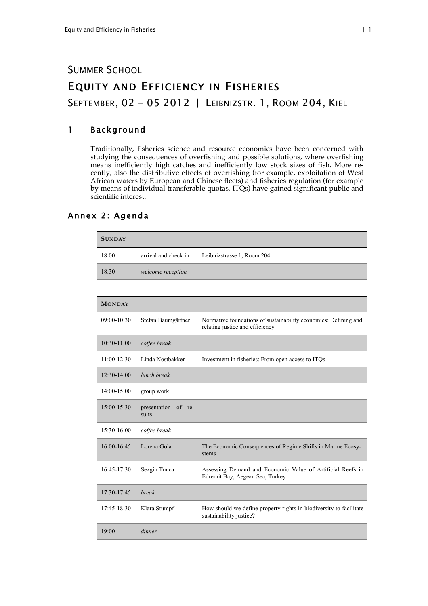# SUMMER SCHOOL EQUITY AND EFFICIENCY IN FISHERIES

SEPTEMBER, 02 - 05 2012 | LEIBNIZSTR. 1, ROOM 204, KIEL

### 1 Background

Traditionally, fisheries science and resource economics have been concerned with studying the consequences of overfishing and possible solutions, where overfishing means inefficiently high catches and inefficiently low stock sizes of fish. More recently, also the distributive effects of overfishing (for example, exploitation of West African waters by European and Chinese fleets) and fisheries regulation (for example by means of individual transferable quotas, ITQs) have gained significant public and scientific interest.

#### Annex 2: Agenda

| <b>SUNDAY</b> |                              |                                                                                                    |
|---------------|------------------------------|----------------------------------------------------------------------------------------------------|
| 18:00         | arrival and check in         | Leibnizstrasse 1, Room 204                                                                         |
| 18:30         | welcome reception            |                                                                                                    |
|               |                              |                                                                                                    |
| <b>MONDAY</b> |                              |                                                                                                    |
| 09:00-10:30   | Stefan Baumgärtner           | Normative foundations of sustainability economics: Defining and<br>relating justice and efficiency |
| 10:30-11:00   | coffee break                 |                                                                                                    |
| 11:00-12:30   | Linda Nostbakken             | Investment in fisheries: From open access to ITQs                                                  |
| $12:30-14:00$ | lunch break                  |                                                                                                    |
| 14:00-15:00   | group work                   |                                                                                                    |
| 15:00-15:30   | presentation of re-<br>sults |                                                                                                    |
| 15:30-16:00   | coffee break                 |                                                                                                    |
| 16:00-16:45   | Lorena Gola                  | The Economic Consequences of Regime Shifts in Marine Ecosy-<br>stems                               |
| 16:45-17:30   | Sezgin Tunca                 | Assessing Demand and Economic Value of Artificial Reefs in<br>Edremit Bay, Aegean Sea, Turkey      |
| 17:30-17:45   | <b>break</b>                 |                                                                                                    |
| 17:45-18:30   | Klara Stumpf                 | How should we define property rights in biodiversity to facilitate<br>sustainability justice?      |
| 19:00         | dinner                       |                                                                                                    |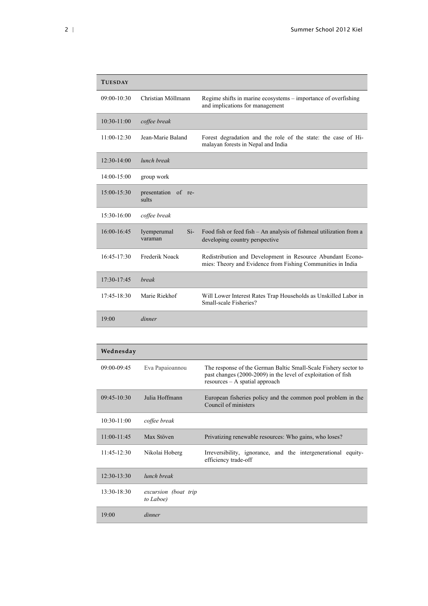| <b>TUESDAY</b>  |                                 |                                                                                                                           |
|-----------------|---------------------------------|---------------------------------------------------------------------------------------------------------------------------|
| $09:00 - 10:30$ | Christian Möllmann              | Regime shifts in marine ecosystems - importance of overfishing<br>and implications for management                         |
| $10:30-11:00$   | coffee break                    |                                                                                                                           |
| $11:00-12:30$   | Jean-Marie Baland               | Forest degradation and the role of the state: the case of Hi-<br>malayan forests in Nepal and India                       |
| $12:30-14:00$   | lunch break                     |                                                                                                                           |
| 14:00-15:00     | group work                      |                                                                                                                           |
| 15:00-15:30     | presentation of re-<br>sults    |                                                                                                                           |
| 15:30-16:00     | coffee break                    |                                                                                                                           |
| 16:00-16:45     | $Si-$<br>Iyemperumal<br>varaman | Food fish or feed fish – An analysis of fishmeal utilization from a<br>developing country perspective                     |
| $16:45-17:30$   | Frederik Noack                  | Redistribution and Development in Resource Abundant Econo-<br>mies: Theory and Evidence from Fishing Communities in India |
| 17:30-17:45     | break                           |                                                                                                                           |
| 17:45-18:30     | Marie Riekhof                   | Will Lower Interest Rates Trap Households as Unskilled Labor in<br>Small-scale Fisheries?                                 |
| 19:00           | dinner                          |                                                                                                                           |

| Wednesday       |                                   |                                                                                                                                                                      |  |
|-----------------|-----------------------------------|----------------------------------------------------------------------------------------------------------------------------------------------------------------------|--|
| $09:00 - 09:45$ | Eva Papaioannou                   | The response of the German Baltic Small-Scale Fishery sector to<br>past changes (2000-2009) in the level of exploitation of fish<br>$resources - A spatial approach$ |  |
| $09:45-10:30$   | Julia Hoffmann                    | European fisheries policy and the common pool problem in the<br>Council of ministers                                                                                 |  |
| 10:30-11:00     | coffee break                      |                                                                                                                                                                      |  |
| 11:00-11:45     | Max Stöven                        | Privatizing renewable resources: Who gains, who loses?                                                                                                               |  |
| $11:45 - 12:30$ | Nikolai Hoberg                    | Irreversibility, ignorance, and the intergenerational equity-<br>efficiency trade-off                                                                                |  |
| $12:30-13:30$   | lunch break                       |                                                                                                                                                                      |  |
| $13:30-18:30$   | excursion (boat trip<br>to Laboe) |                                                                                                                                                                      |  |
| 19:00           | dinner                            |                                                                                                                                                                      |  |